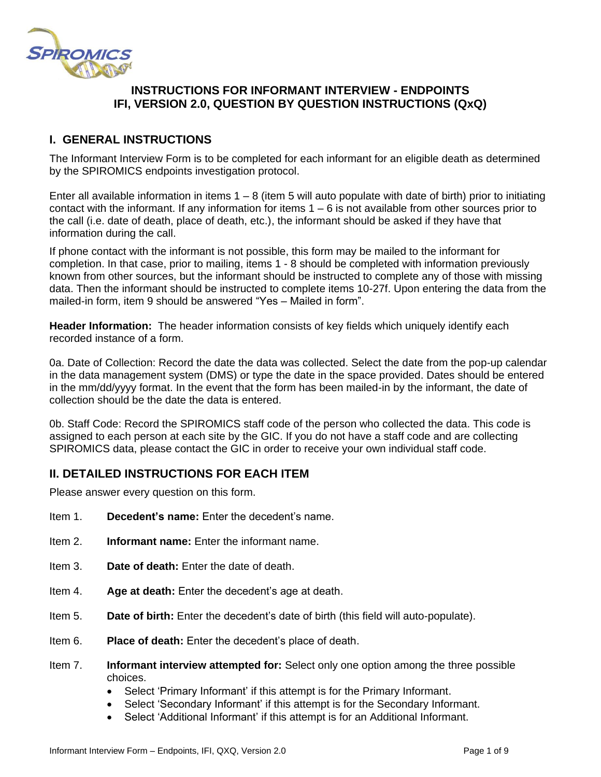

## **INSTRUCTIONS FOR INFORMANT INTERVIEW - ENDPOINTS IFI, VERSION 2.0, QUESTION BY QUESTION INSTRUCTIONS (QxQ)**

# **I. GENERAL INSTRUCTIONS**

The Informant Interview Form is to be completed for each informant for an eligible death as determined by the SPIROMICS endpoints investigation protocol.

Enter all available information in items  $1 - 8$  (item 5 will auto populate with date of birth) prior to initiating contact with the informant. If any information for items  $1 - 6$  is not available from other sources prior to the call (i.e. date of death, place of death, etc.), the informant should be asked if they have that information during the call.

If phone contact with the informant is not possible, this form may be mailed to the informant for completion. In that case, prior to mailing, items 1 - 8 should be completed with information previously known from other sources, but the informant should be instructed to complete any of those with missing data. Then the informant should be instructed to complete items 10-27f. Upon entering the data from the mailed-in form, item 9 should be answered "Yes – Mailed in form".

**Header Information:** The header information consists of key fields which uniquely identify each recorded instance of a form.

0a. Date of Collection: Record the date the data was collected. Select the date from the pop-up calendar in the data management system (DMS) or type the date in the space provided. Dates should be entered in the mm/dd/yyyy format. In the event that the form has been mailed-in by the informant, the date of collection should be the date the data is entered.

0b. Staff Code: Record the SPIROMICS staff code of the person who collected the data. This code is assigned to each person at each site by the GIC. If you do not have a staff code and are collecting SPIROMICS data, please contact the GIC in order to receive your own individual staff code.

## **II. DETAILED INSTRUCTIONS FOR EACH ITEM**

Please answer every question on this form.

- Item 1. **Decedent's name:** Enter the decedent's name.
- Item 2. **Informant name:** Enter the informant name.
- Item 3. **Date of death:** Enter the date of death.
- Item 4. **Age at death:** Enter the decedent's age at death.
- Item 5. **Date of birth:** Enter the decedent's date of birth (this field will auto-populate).
- Item 6. **Place of death:** Enter the decedent's place of death.
- Item 7. **Informant interview attempted for:** Select only one option among the three possible choices.
	- Select 'Primary Informant' if this attempt is for the Primary Informant.
	- Select 'Secondary Informant' if this attempt is for the Secondary Informant.
	- Select 'Additional Informant' if this attempt is for an Additional Informant.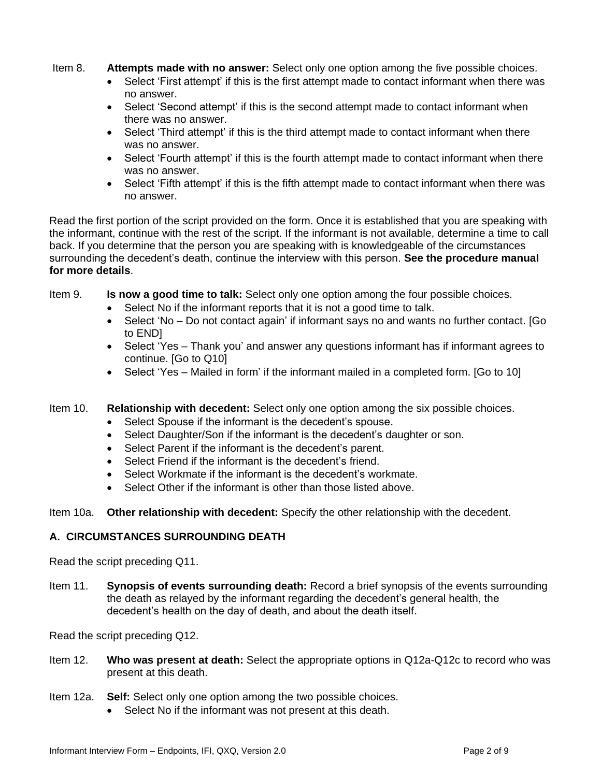Item 8. **Attempts made with no answer:** Select only one option among the five possible choices.

- Select 'First attempt' if this is the first attempt made to contact informant when there was no answer.
- Select 'Second attempt' if this is the second attempt made to contact informant when there was no answer.
- Select 'Third attempt' if this is the third attempt made to contact informant when there was no answer.
- Select 'Fourth attempt' if this is the fourth attempt made to contact informant when there was no answer.
- Select 'Fifth attempt' if this is the fifth attempt made to contact informant when there was no answer.

Read the first portion of the script provided on the form. Once it is established that you are speaking with the informant, continue with the rest of the script. If the informant is not available, determine a time to call back. If you determine that the person you are speaking with is knowledgeable of the circumstances surrounding the decedent's death, continue the interview with this person. **See the procedure manual for more details**.

Item 9. **Is now a good time to talk:** Select only one option among the four possible choices.

- Select No if the informant reports that it is not a good time to talk.
- Select 'No Do not contact again' if informant says no and wants no further contact. [Go to END]
- Select 'Yes Thank you' and answer any questions informant has if informant agrees to continue. [Go to Q10]
- Select 'Yes Mailed in form' if the informant mailed in a completed form. [Go to 10]
- Item 10. **Relationship with decedent:** Select only one option among the six possible choices.
	- Select Spouse if the informant is the decedent's spouse.
	- Select Daughter/Son if the informant is the decedent's daughter or son.
	- Select Parent if the informant is the decedent's parent.
	- Select Friend if the informant is the decedent's friend.
	- Select Workmate if the informant is the decedent's workmate.
	- Select Other if the informant is other than those listed above.

Item 10a. **Other relationship with decedent:** Specify the other relationship with the decedent.

### **A. CIRCUMSTANCES SURROUNDING DEATH**

Read the script preceding Q11.

Item 11. **Synopsis of events surrounding death:** Record a brief synopsis of the events surrounding the death as relayed by the informant regarding the decedent's general health, the decedent's health on the day of death, and about the death itself.

Read the script preceding Q12.

- Item 12. **Who was present at death:** Select the appropriate options in Q12a-Q12c to record who was present at this death.
- Item 12a. **Self:** Select only one option among the two possible choices.
	- Select No if the informant was not present at this death.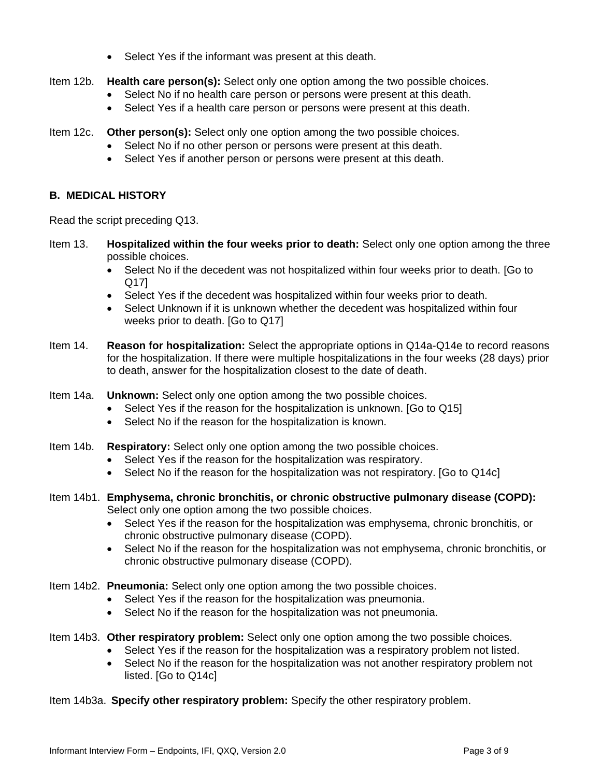• Select Yes if the informant was present at this death.

Item 12b. **Health care person(s):** Select only one option among the two possible choices.

- Select No if no health care person or persons were present at this death.
- Select Yes if a health care person or persons were present at this death.

Item 12c. **Other person(s):** Select only one option among the two possible choices.

- Select No if no other person or persons were present at this death.
- Select Yes if another person or persons were present at this death.

#### **B. MEDICAL HISTORY**

Read the script preceding Q13.

- Item 13. **Hospitalized within the four weeks prior to death:** Select only one option among the three possible choices.
	- Select No if the decedent was not hospitalized within four weeks prior to death. [Go to Q17]
	- Select Yes if the decedent was hospitalized within four weeks prior to death.
	- Select Unknown if it is unknown whether the decedent was hospitalized within four weeks prior to death. [Go to Q17]
- Item 14. **Reason for hospitalization:** Select the appropriate options in Q14a-Q14e to record reasons for the hospitalization. If there were multiple hospitalizations in the four weeks (28 days) prior to death, answer for the hospitalization closest to the date of death.
- Item 14a. **Unknown:** Select only one option among the two possible choices.
	- Select Yes if the reason for the hospitalization is unknown. [Go to Q15]
	- Select No if the reason for the hospitalization is known.
- Item 14b. **Respiratory:** Select only one option among the two possible choices.
	- Select Yes if the reason for the hospitalization was respiratory.
	- Select No if the reason for the hospitalization was not respiratory. [Go to Q14c]
- Item 14b1. **Emphysema, chronic bronchitis, or chronic obstructive pulmonary disease (COPD):** Select only one option among the two possible choices.
	- Select Yes if the reason for the hospitalization was emphysema, chronic bronchitis, or chronic obstructive pulmonary disease (COPD).
	- Select No if the reason for the hospitalization was not emphysema, chronic bronchitis, or chronic obstructive pulmonary disease (COPD).
- Item 14b2. **Pneumonia:** Select only one option among the two possible choices.
	- Select Yes if the reason for the hospitalization was pneumonia.
	- Select No if the reason for the hospitalization was not pneumonia.
- Item 14b3. **Other respiratory problem:** Select only one option among the two possible choices.
	- Select Yes if the reason for the hospitalization was a respiratory problem not listed.
	- Select No if the reason for the hospitalization was not another respiratory problem not listed. [Go to Q14c]
- Item 14b3a. **Specify other respiratory problem:** Specify the other respiratory problem.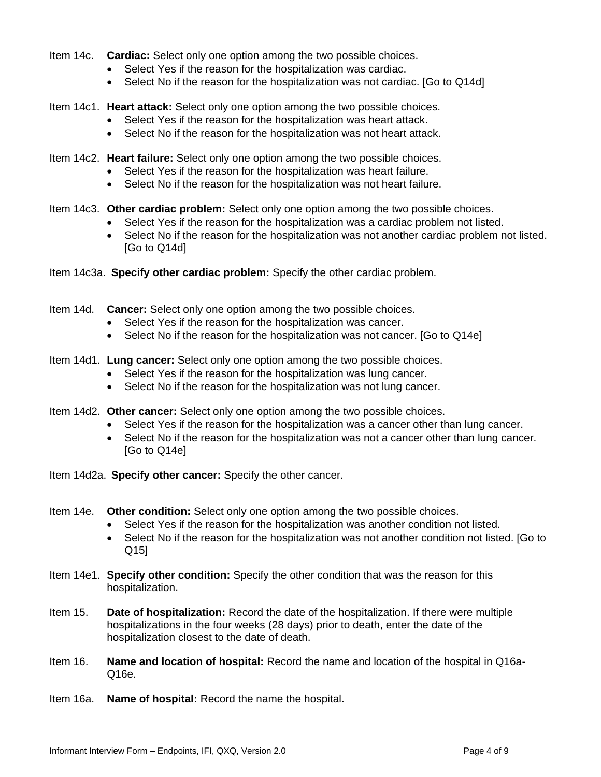- Item 14c. **Cardiac:** Select only one option among the two possible choices.
	- Select Yes if the reason for the hospitalization was cardiac.
	- Select No if the reason for the hospitalization was not cardiac. [Go to Q14d]

Item 14c1. **Heart attack:** Select only one option among the two possible choices.

- Select Yes if the reason for the hospitalization was heart attack.
- Select No if the reason for the hospitalization was not heart attack.
- Item 14c2. **Heart failure:** Select only one option among the two possible choices.
	- Select Yes if the reason for the hospitalization was heart failure.
	- Select No if the reason for the hospitalization was not heart failure.
- Item 14c3. **Other cardiac problem:** Select only one option among the two possible choices.
	- Select Yes if the reason for the hospitalization was a cardiac problem not listed.
	- Select No if the reason for the hospitalization was not another cardiac problem not listed. [Go to Q14d]
- Item 14c3a. **Specify other cardiac problem:** Specify the other cardiac problem.
- Item 14d. **Cancer:** Select only one option among the two possible choices.
	- Select Yes if the reason for the hospitalization was cancer.
	- Select No if the reason for the hospitalization was not cancer. [Go to Q14e]
- Item 14d1. **Lung cancer:** Select only one option among the two possible choices.
	- Select Yes if the reason for the hospitalization was lung cancer.
	- Select No if the reason for the hospitalization was not lung cancer.
- Item 14d2. **Other cancer:** Select only one option among the two possible choices.
	- Select Yes if the reason for the hospitalization was a cancer other than lung cancer.
	- Select No if the reason for the hospitalization was not a cancer other than lung cancer. [Go to Q14e]
- Item 14d2a. **Specify other cancer:** Specify the other cancer.
- Item 14e. **Other condition:** Select only one option among the two possible choices.
	- Select Yes if the reason for the hospitalization was another condition not listed.
	- Select No if the reason for the hospitalization was not another condition not listed. [Go to Q15]
- Item 14e1. **Specify other condition:** Specify the other condition that was the reason for this hospitalization.
- Item 15. **Date of hospitalization:** Record the date of the hospitalization. If there were multiple hospitalizations in the four weeks (28 days) prior to death, enter the date of the hospitalization closest to the date of death.
- Item 16. **Name and location of hospital:** Record the name and location of the hospital in Q16a-Q16e.
- Item 16a. **Name of hospital:** Record the name the hospital.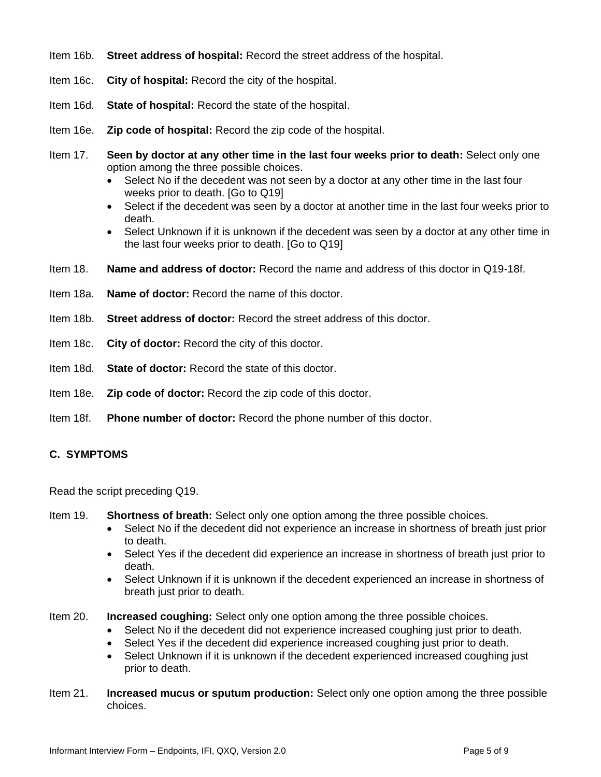- Item 16b. **Street address of hospital:** Record the street address of the hospital.
- Item 16c. **City of hospital:** Record the city of the hospital.
- Item 16d. **State of hospital:** Record the state of the hospital.
- Item 16e. **Zip code of hospital:** Record the zip code of the hospital.
- Item 17. **Seen by doctor at any other time in the last four weeks prior to death:** Select only one option among the three possible choices.
	- Select No if the decedent was not seen by a doctor at any other time in the last four weeks prior to death. [Go to Q19]
	- Select if the decedent was seen by a doctor at another time in the last four weeks prior to death.
	- Select Unknown if it is unknown if the decedent was seen by a doctor at any other time in the last four weeks prior to death. [Go to Q19]
- Item 18. **Name and address of doctor:** Record the name and address of this doctor in Q19-18f.
- Item 18a. **Name of doctor:** Record the name of this doctor.
- Item 18b. **Street address of doctor:** Record the street address of this doctor.
- Item 18c. **City of doctor:** Record the city of this doctor.
- Item 18d. **State of doctor:** Record the state of this doctor.
- Item 18e. **Zip code of doctor:** Record the zip code of this doctor.
- Item 18f. **Phone number of doctor:** Record the phone number of this doctor.

### **C. SYMPTOMS**

Read the script preceding Q19.

- Item 19. **Shortness of breath:** Select only one option among the three possible choices.
	- Select No if the decedent did not experience an increase in shortness of breath just prior to death.
	- Select Yes if the decedent did experience an increase in shortness of breath just prior to death.
	- Select Unknown if it is unknown if the decedent experienced an increase in shortness of breath just prior to death.
- Item 20. **Increased coughing:** Select only one option among the three possible choices.
	- Select No if the decedent did not experience increased coughing just prior to death.
	- Select Yes if the decedent did experience increased coughing just prior to death.
	- Select Unknown if it is unknown if the decedent experienced increased coughing just prior to death.
- Item 21. **Increased mucus or sputum production:** Select only one option among the three possible choices.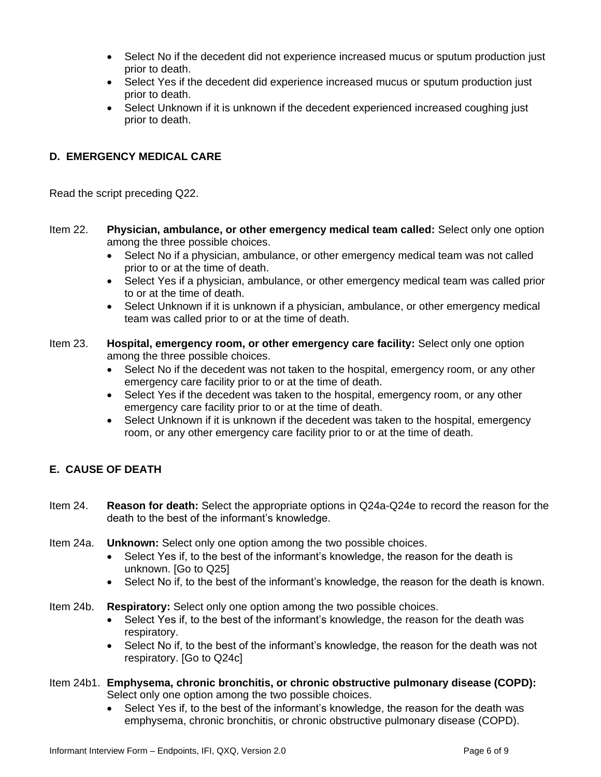- Select No if the decedent did not experience increased mucus or sputum production just prior to death.
- Select Yes if the decedent did experience increased mucus or sputum production just prior to death.
- Select Unknown if it is unknown if the decedent experienced increased coughing just prior to death.

### **D. EMERGENCY MEDICAL CARE**

Read the script preceding Q22.

- Item 22. **Physician, ambulance, or other emergency medical team called:** Select only one option among the three possible choices.
	- Select No if a physician, ambulance, or other emergency medical team was not called prior to or at the time of death.
	- Select Yes if a physician, ambulance, or other emergency medical team was called prior to or at the time of death.
	- Select Unknown if it is unknown if a physician, ambulance, or other emergency medical team was called prior to or at the time of death.
- Item 23. **Hospital, emergency room, or other emergency care facility:** Select only one option among the three possible choices.
	- Select No if the decedent was not taken to the hospital, emergency room, or any other emergency care facility prior to or at the time of death.
	- Select Yes if the decedent was taken to the hospital, emergency room, or any other emergency care facility prior to or at the time of death.
	- Select Unknown if it is unknown if the decedent was taken to the hospital, emergency room, or any other emergency care facility prior to or at the time of death.

## **E. CAUSE OF DEATH**

- Item 24. **Reason for death:** Select the appropriate options in Q24a-Q24e to record the reason for the death to the best of the informant's knowledge.
- Item 24a. **Unknown:** Select only one option among the two possible choices.
	- Select Yes if, to the best of the informant's knowledge, the reason for the death is unknown. [Go to Q25]
	- Select No if, to the best of the informant's knowledge, the reason for the death is known.
- Item 24b. **Respiratory:** Select only one option among the two possible choices.
	- Select Yes if, to the best of the informant's knowledge, the reason for the death was respiratory.
	- Select No if, to the best of the informant's knowledge, the reason for the death was not respiratory. [Go to Q24c]
- Item 24b1. **Emphysema, chronic bronchitis, or chronic obstructive pulmonary disease (COPD):** Select only one option among the two possible choices.
	- Select Yes if, to the best of the informant's knowledge, the reason for the death was emphysema, chronic bronchitis, or chronic obstructive pulmonary disease (COPD).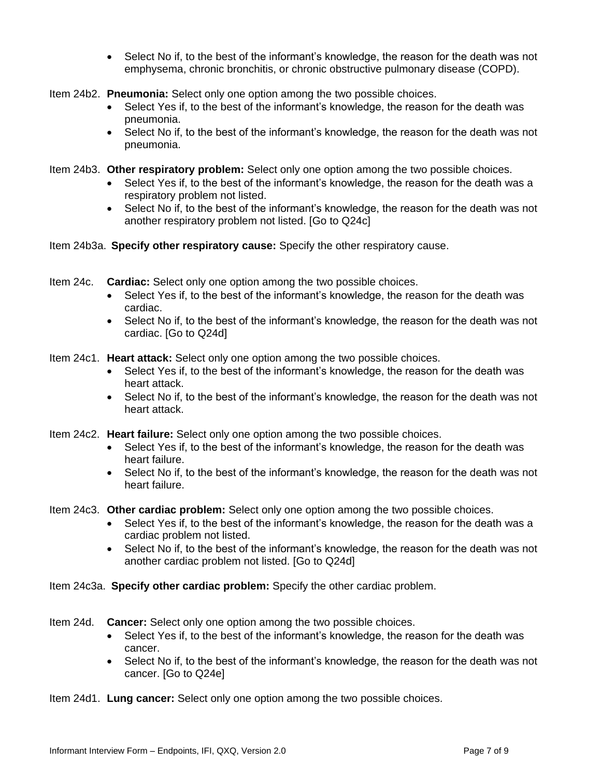- Select No if, to the best of the informant's knowledge, the reason for the death was not emphysema, chronic bronchitis, or chronic obstructive pulmonary disease (COPD).
- Item 24b2. **Pneumonia:** Select only one option among the two possible choices.
	- Select Yes if, to the best of the informant's knowledge, the reason for the death was pneumonia.
	- Select No if, to the best of the informant's knowledge, the reason for the death was not pneumonia.
- Item 24b3. **Other respiratory problem:** Select only one option among the two possible choices.
	- Select Yes if, to the best of the informant's knowledge, the reason for the death was a respiratory problem not listed.
	- Select No if, to the best of the informant's knowledge, the reason for the death was not another respiratory problem not listed. [Go to Q24c]
- Item 24b3a. **Specify other respiratory cause:** Specify the other respiratory cause.
- Item 24c. **Cardiac:** Select only one option among the two possible choices.
	- Select Yes if, to the best of the informant's knowledge, the reason for the death was cardiac.
	- Select No if, to the best of the informant's knowledge, the reason for the death was not cardiac. [Go to Q24d]
- Item 24c1. **Heart attack:** Select only one option among the two possible choices.
	- Select Yes if, to the best of the informant's knowledge, the reason for the death was heart attack.
	- Select No if, to the best of the informant's knowledge, the reason for the death was not heart attack.
- Item 24c2. **Heart failure:** Select only one option among the two possible choices.
	- Select Yes if, to the best of the informant's knowledge, the reason for the death was heart failure.
	- Select No if, to the best of the informant's knowledge, the reason for the death was not heart failure.
- Item 24c3. **Other cardiac problem:** Select only one option among the two possible choices.
	- Select Yes if, to the best of the informant's knowledge, the reason for the death was a cardiac problem not listed.
	- Select No if, to the best of the informant's knowledge, the reason for the death was not another cardiac problem not listed. [Go to Q24d]
- Item 24c3a. **Specify other cardiac problem:** Specify the other cardiac problem.
- Item 24d. **Cancer:** Select only one option among the two possible choices.
	- Select Yes if, to the best of the informant's knowledge, the reason for the death was cancer.
	- Select No if, to the best of the informant's knowledge, the reason for the death was not cancer. [Go to Q24e]

Item 24d1. **Lung cancer:** Select only one option among the two possible choices.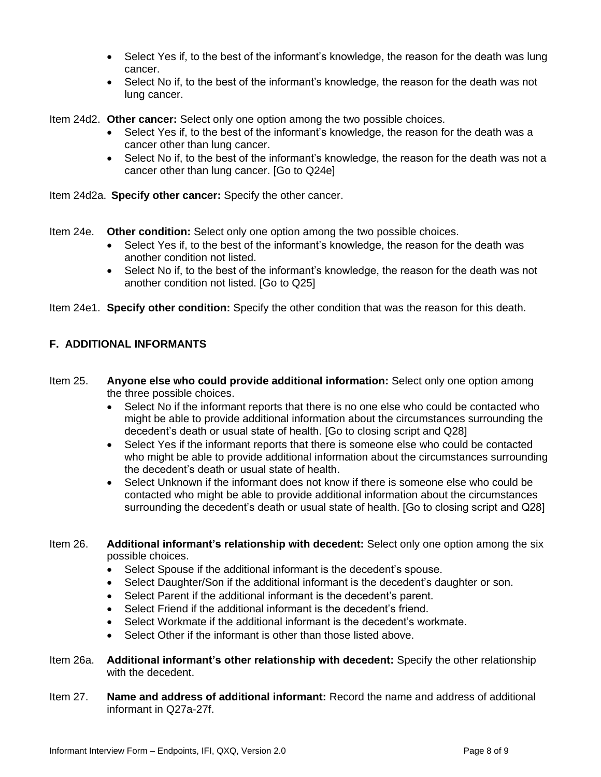- Select Yes if, to the best of the informant's knowledge, the reason for the death was lung cancer.
- Select No if, to the best of the informant's knowledge, the reason for the death was not lung cancer.

Item 24d2. **Other cancer:** Select only one option among the two possible choices.

- Select Yes if, to the best of the informant's knowledge, the reason for the death was a cancer other than lung cancer.
- Select No if, to the best of the informant's knowledge, the reason for the death was not a cancer other than lung cancer. [Go to Q24e]

Item 24d2a. **Specify other cancer:** Specify the other cancer.

Item 24e. **Other condition:** Select only one option among the two possible choices.

- Select Yes if, to the best of the informant's knowledge, the reason for the death was another condition not listed.
- Select No if, to the best of the informant's knowledge, the reason for the death was not another condition not listed. [Go to Q25]

Item 24e1. **Specify other condition:** Specify the other condition that was the reason for this death.

### **F. ADDITIONAL INFORMANTS**

- Item 25. **Anyone else who could provide additional information:** Select only one option among the three possible choices.
	- Select No if the informant reports that there is no one else who could be contacted who might be able to provide additional information about the circumstances surrounding the decedent's death or usual state of health. [Go to closing script and Q28]
	- Select Yes if the informant reports that there is someone else who could be contacted who might be able to provide additional information about the circumstances surrounding the decedent's death or usual state of health.
	- Select Unknown if the informant does not know if there is someone else who could be contacted who might be able to provide additional information about the circumstances surrounding the decedent's death or usual state of health. [Go to closing script and Q28]
- Item 26. **Additional informant's relationship with decedent:** Select only one option among the six possible choices.
	- Select Spouse if the additional informant is the decedent's spouse.
	- Select Daughter/Son if the additional informant is the decedent's daughter or son.
	- Select Parent if the additional informant is the decedent's parent.
	- Select Friend if the additional informant is the decedent's friend.
	- Select Workmate if the additional informant is the decedent's workmate.
	- Select Other if the informant is other than those listed above.
- Item 26a. **Additional informant's other relationship with decedent:** Specify the other relationship with the decedent.
- Item 27. **Name and address of additional informant:** Record the name and address of additional informant in Q27a-27f.